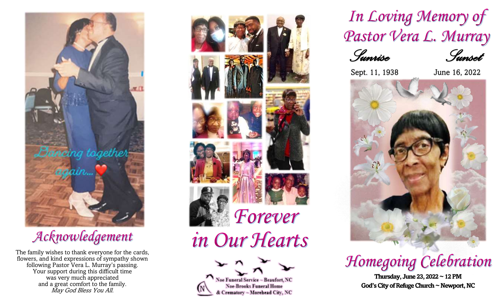

## Acknowledgement

The family wishes to thank everyone for the cards, flowers, and kind expressions of sympathy shown following Pastor Vera L. Murray's passing. Your support during this difficult time was very much appreciated and a great comfort to the family. May God Bless You All.



In Loving Memory of Pastor Vera L. Murray



Sept. 11, 1938 June 16, 2022



## Homegoing Celebration

**Thursday, June23, 2022 ~ 12PM God's City of Refuge Church ~ Newport, NC**